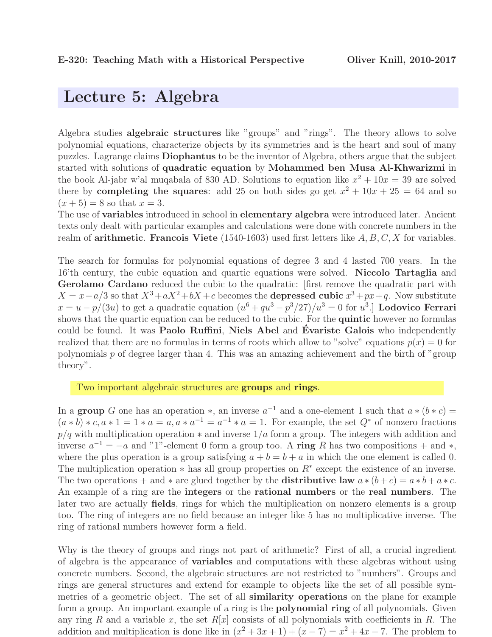## Lecture 5: Algebra

Algebra studies algebraic structures like "groups" and "rings". The theory allows to solve polynomial equations, characterize objects by its symmetries and is the heart and soul of many puzzles. Lagrange claims Diophantus to be the inventor of Algebra, others argue that the subject started with solutions of quadratic equation by Mohammed ben Musa Al-Khwarizmi in the book Al-jabr w'al muqabala of 830 AD. Solutions to equation like  $x^2 + 10x = 39$  are solved there by **completing the squares**: add 25 on both sides go get  $x^2 + 10x + 25 = 64$  and so  $(x + 5) = 8$  so that  $x = 3$ .

The use of **variables** introduced in school in **elementary algebra** were introduced later. Ancient texts only dealt with particular examples and calculations were done with concrete numbers in the realm of **arithmetic. Francois Viete** (1540-1603) used first letters like  $A, B, C, X$  for variables.

The search for formulas for polynomial equations of degree 3 and 4 lasted 700 years. In the 16'th century, the cubic equation and quartic equations were solved. Niccolo Tartaglia and Gerolamo Cardano reduced the cubic to the quadratic: first remove the quadratic part with  $X = x - a/3$  so that  $X^3 + aX^2 + bX + c$  becomes the **depressed cubic**  $x^3 + px + q$ . Now substitute  $x = u - p/(3u)$  to get a quadratic equation  $(u^6 + qu^3 - p^3/27)/u^3 = 0$  for  $u^3$ . Lodovico Ferrari shows that the quartic equation can be reduced to the cubic. For the **quintic** however no formulas could be found. It was Paolo Ruffini, Niels Abel and Évariste Galois who independently realized that there are no formulas in terms of roots which allow to "solve" equations  $p(x) = 0$  for polynomials  $p$  of degree larger than 4. This was an amazing achievement and the birth of "group" theory".

Two important algebraic structures are groups and rings.

In a **group** G one has an operation  $*$ , an inverse  $a^{-1}$  and a one-element 1 such that  $a * (b * c) =$  $(a * b) * c, a * 1 = 1 * a = a, a * a^{-1} = a^{-1} * a = 1$ . For example, the set  $Q^*$  of nonzero fractions  $p/q$  with multiplication operation  $*$  and inverse  $1/a$  form a group. The integers with addition and inverse  $a^{-1} = -a$  and "1"-element 0 form a group too. A ring R has two compositions + and \*, where the plus operation is a group satisfying  $a + b = b + a$  in which the one element is called 0. The multiplication operation  $*$  has all group properties on  $R^*$  except the existence of an inverse. The two operations + and \* are glued together by the **distributive law**  $a*(b+c) = a*b+a*c$ . An example of a ring are the integers or the rational numbers or the real numbers. The later two are actually fields, rings for which the multiplication on nonzero elements is a group too. The ring of integers are no field because an integer like 5 has no multiplicative inverse. The ring of rational numbers however form a field.

Why is the theory of groups and rings not part of arithmetic? First of all, a crucial ingredient of algebra is the appearance of variables and computations with these algebras without using concrete numbers. Second, the algebraic structures are not restricted to "numbers". Groups and rings are general structures and extend for example to objects like the set of all possible symmetries of a geometric object. The set of all similarity operations on the plane for example form a group. An important example of a ring is the **polynomial ring** of all polynomials. Given any ring R and a variable x, the set  $R[x]$  consists of all polynomials with coefficients in R. The addition and multiplication is done like in  $(x^2 + 3x + 1) + (x - 7) = x^2 + 4x - 7$ . The problem to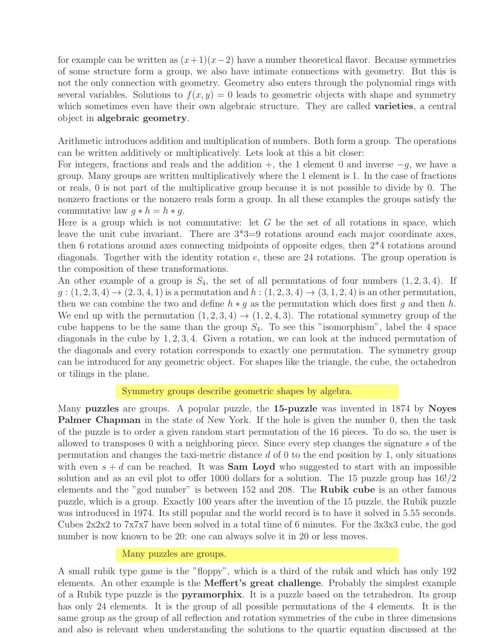for example can be written as  $(x+1)(x-2)$  have a number theoretical flavor. Because symmetries of some structure form a group, we also have intimate connections with geometry. But this is not the only connection with geometry. Geometry also enters through the polynomial rings with several variables. Solutions to  $f(x, y) = 0$  leads to geometric objects with shape and symmetry which sometimes even have their own algebraic structure. They are called **varieties**, a central object in algebraic geometry.

Arithmetic introduces addition and multiplication of numbers. Both form a group. The operations can be written additively or multiplicatively. Lets look at this a bit closer:

For integers, fractions and reals and the addition  $+$ , the 1 element 0 and inverse  $-g$ , we have a group. Many groups are written multiplicatively where the 1 element is 1. In the case of fractions or reals, 0 is not part of the multiplicative group because it is not possible to divide by 0. The nonzero fractions or the nonzero reals form a group. In all these examples the groups satisfy the commutative law  $g * h = h * g$ .

Here is a group which is not commutative: let  $G$  be the set of all rotations in space, which leave the unit cube invariant. There are  $3*3=9$  rotations around each major coordinate axes, then 6 rotations around axes connecting midpoints of opposite edges, then 2\*4 rotations around diagonals. Together with the identity rotation  $e$ , these are 24 rotations. The group operation is the composition of these transformations.

An other example of a group is  $S_4$ , the set of all permutations of four numbers  $(1, 2, 3, 4)$ . If  $g: (1, 2, 3, 4) \to (2, 3, 4, 1)$  is a permutation and  $h: (1, 2, 3, 4) \to (3, 1, 2, 4)$  is an other permutation, then we can combine the two and define  $h * g$  as the permutation which does first g and then h. We end up with the permutation  $(1, 2, 3, 4) \rightarrow (1, 2, 4, 3)$ . The rotational symmetry group of the cube happens to be the same than the group  $S_4$ . To see this "isomorphism", label the 4 space diagonals in the cube by 1, 2, 3, 4. Given a rotation, we can look at the induced permutation of the diagonals and every rotation corresponds to exactly one permutation. The symmetry group can be introduced for any geometric object. For shapes like the triangle, the cube, the octahedron or tilings in the plane.

#### Symmetry groups describe geometric shapes by algebra.

Many puzzles are groups. A popular puzzle, the 15-puzzle was invented in 1874 by Noyes Palmer Chapman in the state of New York. If the hole is given the number 0, then the task of the puzzle is to order a given random start permutation of the 16 pieces. To do so, the user is allowed to transposes 0 with a neighboring piece. Since every step changes the signature s of the permutation and changes the taxi-metric distance  $d$  of 0 to the end position by 1, only situations with even  $s + d$  can be reached. It was **Sam Loyd** who suggested to start with an impossible solution and as an evil plot to offer 1000 dollars for a solution. The 15 puzzle group has 16!/2 elements and the "god number" is between 152 and 208. The Rubik cube is an other famous puzzle, which is a group. Exactly 100 years after the invention of the 15 puzzle, the Rubik puzzle was introduced in 1974. Its still popular and the world record is to have it solved in 5.55 seconds. Cubes 2x2x2 to 7x7x7 have been solved in a total time of 6 minutes. For the 3x3x3 cube, the god number is now known to be 20: one can always solve it in 20 or less moves.

#### Many puzzles are groups.

A small rubik type game is the "floppy", which is a third of the rubik and which has only 192 elements. An other example is the Meffert's great challenge. Probably the simplest example of a Rubik type puzzle is the pyramorphix. It is a puzzle based on the tetrahedron. Its group has only 24 elements. It is the group of all possible permutations of the 4 elements. It is the same group as the group of all reflection and rotation symmetries of the cube in three dimensions and also is relevant when understanding the solutions to the quartic equation discussed at the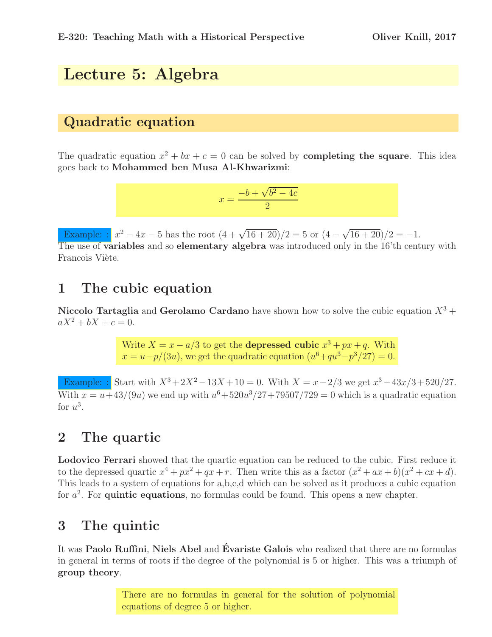# Lecture 5: Algebra

### Quadratic equation

The quadratic equation  $x^2 + bx + c = 0$  can be solved by **completing the square**. This idea goes back to Mohammed ben Musa Al-Khwarizmi:

$$
x = \frac{-b + \sqrt{b^2 - 4c}}{2}
$$

Example:  $x^2 - 4x - 5$  has the root  $(4 + \sqrt{16 + 20})/2 = 5$  or  $(4 - \sqrt{16 + 20})/2 = -1$ . The use of variables and so elementary algebra was introduced only in the 16'th century with Francois Viète.

## 1 The cubic equation

Niccolo Tartaglia and Gerolamo Cardano have shown how to solve the cubic equation  $X^3$  +  $aX^2 + bX + c = 0.$ 

> Write  $X = x - a/3$  to get the **depressed cubic**  $x^3 + px + q$ . With  $x = u-p/(3u)$ , we get the quadratic equation  $(u^6+qu^3-p^3/27) = 0$ .

Example: : Start with  $X^3 + 2X^2 - 13X + 10 = 0$ . With  $X = x - 2/3$  we get  $x^3 - 43x/3 + 520/27$ . With  $x = u + 43/(9u)$  we end up with  $u^6 + 520u^3/27 + 79507/729 = 0$  which is a quadratic equation for  $u^3$ .

### 2 The quartic

Lodovico Ferrari showed that the quartic equation can be reduced to the cubic. First reduce it to the depressed quartic  $x^4 + px^2 + qx + r$ . Then write this as a factor  $(x^2 + ax + b)(x^2 + cx + d)$ . This leads to a system of equations for a,b,c,d which can be solved as it produces a cubic equation for  $a^2$ . For **quintic equations**, no formulas could be found. This opens a new chapter.

### 3 The quintic

It was Paolo Ruffini, Niels Abel and Évariste Galois who realized that there are no formulas in general in terms of roots if the degree of the polynomial is 5 or higher. This was a triumph of group theory.

> There are no formulas in general for the solution of polynomial equations of degree 5 or higher.